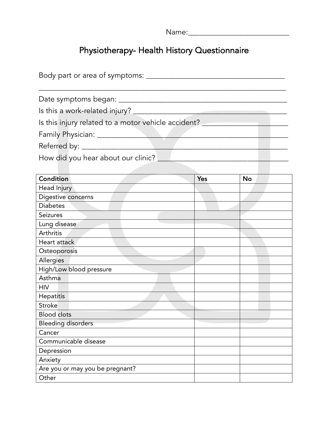| $1 \cap m \cap \cdot$<br>. |  |  |  |
|----------------------------|--|--|--|
|                            |  |  |  |

## Physiotherapy- Health History Questionnaire

| Body part or area of symptoms: ____                 |
|-----------------------------------------------------|
| Date symptoms began: ____________                   |
| Is this a work-related injury?                      |
| Is this injury related to a motor vehicle accident? |
| Family Physician: ____________                      |
| Referred by: ______                                 |
| How did you hear about our clinic?                  |

| Condition                       | Yes | <b>No</b> |  |
|---------------------------------|-----|-----------|--|
| Head Injury                     |     |           |  |
| Digestive concerns              |     |           |  |
| <b>Diabetes</b>                 |     |           |  |
| Seizures                        |     |           |  |
| Lung disease                    |     |           |  |
| Arthritis                       |     |           |  |
| Heart attack                    |     |           |  |
| Osteoporosis                    |     |           |  |
| Allergies                       |     |           |  |
| High/Low blood pressure         |     |           |  |
| Asthma                          |     |           |  |
| <b>HIV</b>                      |     |           |  |
| Hepatitis                       |     |           |  |
| <b>Stroke</b>                   |     |           |  |
| <b>Blood</b> clots              |     |           |  |
| <b>Bleeding disorders</b>       |     |           |  |
| Cancer                          |     |           |  |
| Communicable disease            |     |           |  |
| Depression                      |     |           |  |
| Anxiety                         |     |           |  |
| Are you or may you be pregnant? |     |           |  |
| Other                           |     |           |  |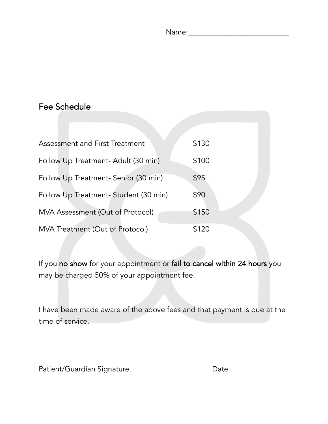| $\overline{a}$<br>$\sim \sim$<br>. |  |  |  |  |
|------------------------------------|--|--|--|--|
|                                    |  |  |  |  |

## Fee Schedule

| <b>Assessment and First Treatment</b> | \$130 |
|---------------------------------------|-------|
| Follow Up Treatment- Adult (30 min)   | \$100 |
| Follow Up Treatment- Senior (30 min)  | \$95  |
| Follow Up Treatment-Student (30 min)  | \$90  |
| MVA Assessment (Out of Protocol)      | \$150 |
| MVA Treatment (Out of Protocol)       | \$120 |

If you no show for your appointment or fail to cancel within 24 hours you may be charged 50% of your appointment fee.

I have been made aware of the above fees and that payment is due at the time of service.

\_\_\_\_\_\_\_\_\_\_\_\_\_\_\_\_\_\_\_\_\_\_\_\_\_\_\_\_\_\_\_\_\_\_\_\_\_\_\_\_\_\_\_\_\_\_\_ \_\_\_\_\_\_\_\_\_\_\_\_\_\_\_\_\_\_\_\_\_\_\_\_\_\_

Patient/Guardian Signature Date